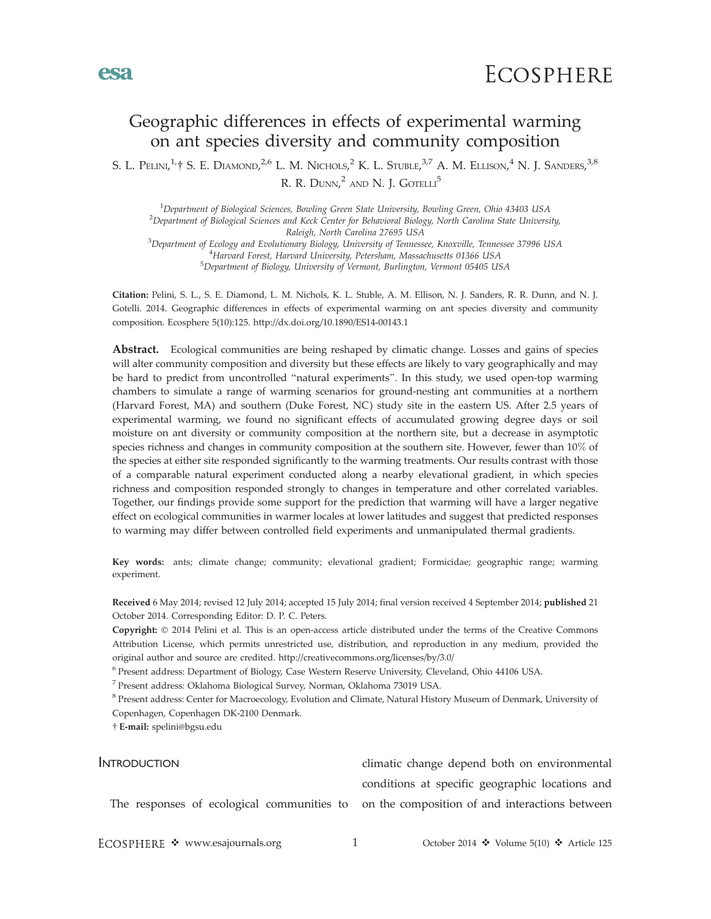

# Geographic differences in effects of experimental warming on ant species diversity and community composition

S. L. Pelini,<sup>1,</sup>† S. E. Diamond,<sup>2,6</sup> L. M. Nichols,<sup>2</sup> K. L. Stuble,<sup>3,7</sup> A. M. Ellison,<sup>4</sup> N. J. Sanders,<sup>3,8</sup> R. R. Dunn,<sup>2</sup> and N. J. Gotelli<sup>5</sup>

<sup>1</sup> Department of Biological Sciences, Bowling Green State University, Bowling Green, Ohio 43403 USA<br><sup>2</sup> Department of Biological Sciences and Keck Canter for Behavioral Biology North Carolina State Universi <sup>2</sup>Department of Biological Sciences and Keck Center for Behavioral Biology, North Carolina State University, Raleigh, North Carolina 27695 USA<br><sup>3</sup>Denertment of Ecology and Evolutionary Biology, Huiversity of Tennesc Department of Ecology and Evolutionary Biology, University of Tennessee, Knoxville, Tennessee 37996 USA <sup>4</sup> <sup>4</sup>Harvard Forest, Harvard University, Petersham, Massachusetts 01366 USA

Department of Biology, University of Vermont, Burlington, Vermont 05405 USA

Citation: Pelini, S. L., S. E. Diamond, L. M. Nichols, K. L. Stuble, A. M. Ellison, N. J. Sanders, R. R. Dunn, and N. J. Gotelli. 2014. Geographic differences in effects of experimental warming on ant species diversity and community composition. Ecosphere 5(10):125. http://dx.doi.org/10.1890/ES14-00143.1

Abstract. Ecological communities are being reshaped by climatic change. Losses and gains of species will alter community composition and diversity but these effects are likely to vary geographically and may be hard to predict from uncontrolled ''natural experiments''. In this study, we used open-top warming chambers to simulate a range of warming scenarios for ground-nesting ant communities at a northern (Harvard Forest, MA) and southern (Duke Forest, NC) study site in the eastern US. After 2.5 years of experimental warming, we found no significant effects of accumulated growing degree days or soil moisture on ant diversity or community composition at the northern site, but a decrease in asymptotic species richness and changes in community composition at the southern site. However, fewer than 10% of the species at either site responded significantly to the warming treatments. Our results contrast with those of a comparable natural experiment conducted along a nearby elevational gradient, in which species richness and composition responded strongly to changes in temperature and other correlated variables. Together, our findings provide some support for the prediction that warming will have a larger negative effect on ecological communities in warmer locales at lower latitudes and suggest that predicted responses to warming may differ between controlled field experiments and unmanipulated thermal gradients.

Key words: ants; climate change; community; elevational gradient; Formicidae; geographic range; warming experiment.

Received 6 May 2014; revised 12 July 2014; accepted 15 July 2014; final version received 4 September 2014; published 21 October 2014. Corresponding Editor: D. P. C. Peters.

Copyright: © 2014 Pelini et al. This is an open-access article distributed under the terms of the Creative Commons Attribution License, which permits unrestricted use, distribution, and reproduction in any medium, provided the original author and source are credited. http://creativecommons.org/licenses/by/3.0/

<sup>6</sup> Present address: Department of Biology, Case Western Reserve University, Cleveland, Ohio 44106 USA.

<sup>7</sup> Present address: Oklahoma Biological Survey, Norman, Oklahoma 73019 USA.

<sup>8</sup> Present address: Center for Macroecology, Evolution and Climate, Natural History Museum of Denmark, University of Copenhagen, Copenhagen DK-2100 Denmark.

- E-mail: spelini@bgsu.edu

INTRODUCTION The responses of ecological communities to on the composition of and interactions between climatic change depend both on environmental conditions at specific geographic locations and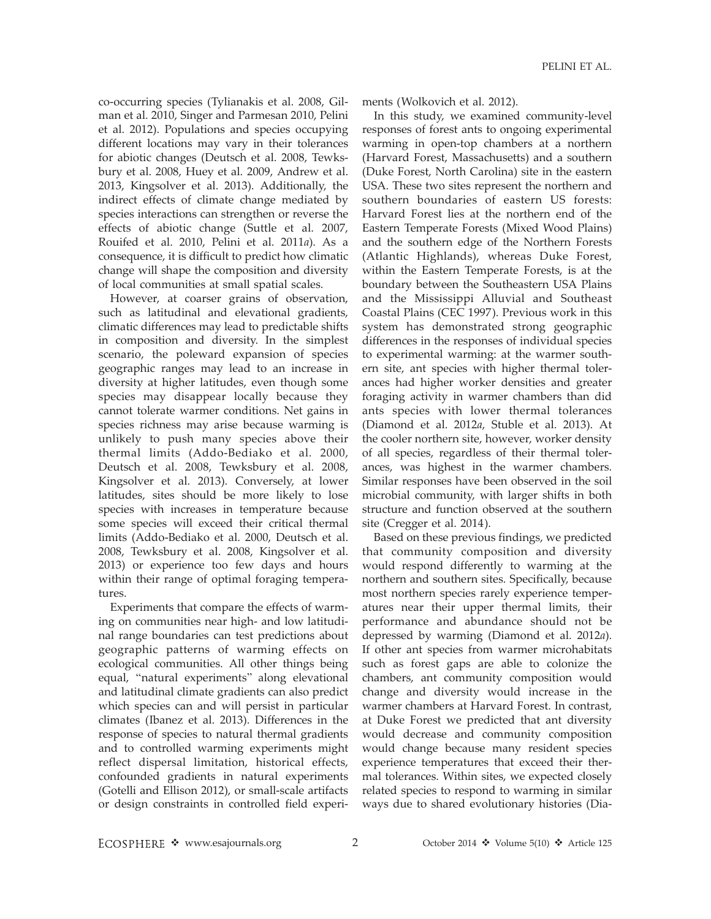co-occurring species (Tylianakis et al. 2008, Gilman et al. 2010, Singer and Parmesan 2010, Pelini et al. 2012). Populations and species occupying different locations may vary in their tolerances for abiotic changes (Deutsch et al. 2008, Tewksbury et al. 2008, Huey et al. 2009, Andrew et al. 2013, Kingsolver et al. 2013). Additionally, the indirect effects of climate change mediated by species interactions can strengthen or reverse the effects of abiotic change (Suttle et al. 2007, Rouifed et al. 2010, Pelini et al. 2011a). As a consequence, it is difficult to predict how climatic change will shape the composition and diversity of local communities at small spatial scales.

However, at coarser grains of observation, such as latitudinal and elevational gradients, climatic differences may lead to predictable shifts in composition and diversity. In the simplest scenario, the poleward expansion of species geographic ranges may lead to an increase in diversity at higher latitudes, even though some species may disappear locally because they cannot tolerate warmer conditions. Net gains in species richness may arise because warming is unlikely to push many species above their thermal limits (Addo-Bediako et al. 2000, Deutsch et al. 2008, Tewksbury et al. 2008, Kingsolver et al. 2013). Conversely, at lower latitudes, sites should be more likely to lose species with increases in temperature because some species will exceed their critical thermal limits (Addo-Bediako et al. 2000, Deutsch et al. 2008, Tewksbury et al. 2008, Kingsolver et al. 2013) or experience too few days and hours within their range of optimal foraging temperatures.

Experiments that compare the effects of warming on communities near high- and low latitudinal range boundaries can test predictions about geographic patterns of warming effects on ecological communities. All other things being equal, ''natural experiments'' along elevational and latitudinal climate gradients can also predict which species can and will persist in particular climates (Ibanez et al. 2013). Differences in the response of species to natural thermal gradients and to controlled warming experiments might reflect dispersal limitation, historical effects, confounded gradients in natural experiments (Gotelli and Ellison 2012), or small-scale artifacts or design constraints in controlled field experiments (Wolkovich et al. 2012).

In this study, we examined community-level responses of forest ants to ongoing experimental warming in open-top chambers at a northern (Harvard Forest, Massachusetts) and a southern (Duke Forest, North Carolina) site in the eastern USA. These two sites represent the northern and southern boundaries of eastern US forests: Harvard Forest lies at the northern end of the Eastern Temperate Forests (Mixed Wood Plains) and the southern edge of the Northern Forests (Atlantic Highlands), whereas Duke Forest, within the Eastern Temperate Forests, is at the boundary between the Southeastern USA Plains and the Mississippi Alluvial and Southeast Coastal Plains (CEC 1997). Previous work in this system has demonstrated strong geographic differences in the responses of individual species to experimental warming: at the warmer southern site, ant species with higher thermal tolerances had higher worker densities and greater foraging activity in warmer chambers than did ants species with lower thermal tolerances (Diamond et al. 2012a, Stuble et al. 2013). At the cooler northern site, however, worker density of all species, regardless of their thermal tolerances, was highest in the warmer chambers. Similar responses have been observed in the soil microbial community, with larger shifts in both structure and function observed at the southern site (Cregger et al. 2014).

Based on these previous findings, we predicted that community composition and diversity would respond differently to warming at the northern and southern sites. Specifically, because most northern species rarely experience temperatures near their upper thermal limits, their performance and abundance should not be depressed by warming (Diamond et al. 2012a). If other ant species from warmer microhabitats such as forest gaps are able to colonize the chambers, ant community composition would change and diversity would increase in the warmer chambers at Harvard Forest. In contrast, at Duke Forest we predicted that ant diversity would decrease and community composition would change because many resident species experience temperatures that exceed their thermal tolerances. Within sites, we expected closely related species to respond to warming in similar ways due to shared evolutionary histories (Dia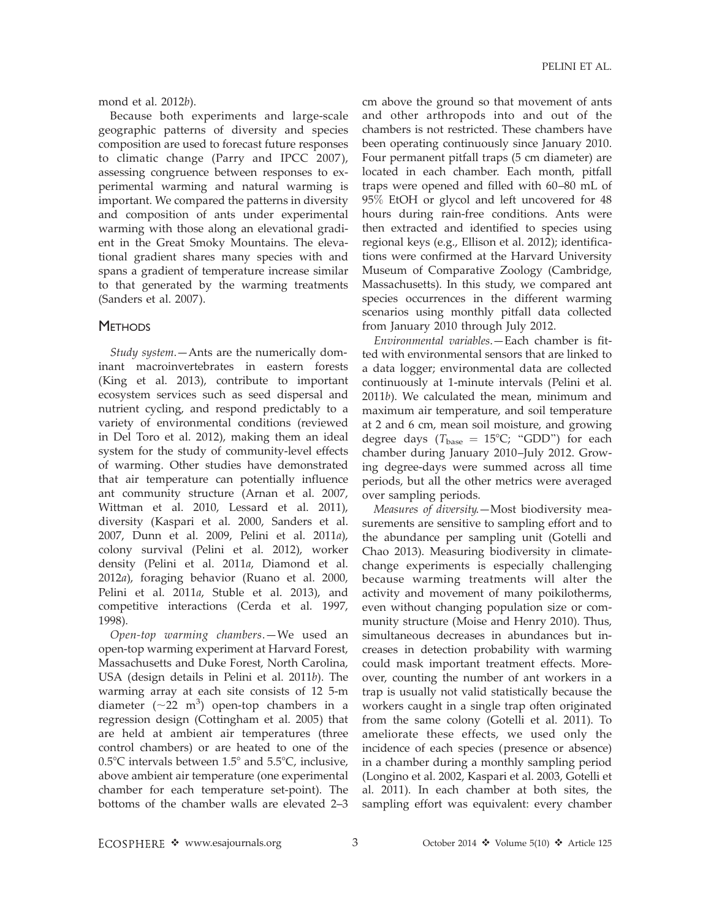mond et al. 2012b).

Because both experiments and large-scale geographic patterns of diversity and species composition are used to forecast future responses to climatic change (Parry and IPCC 2007), assessing congruence between responses to experimental warming and natural warming is important. We compared the patterns in diversity and composition of ants under experimental warming with those along an elevational gradient in the Great Smoky Mountains. The elevational gradient shares many species with and spans a gradient of temperature increase similar to that generated by the warming treatments (Sanders et al. 2007).

### **METHODS**

Study system.—Ants are the numerically dominant macroinvertebrates in eastern forests (King et al. 2013), contribute to important ecosystem services such as seed dispersal and nutrient cycling, and respond predictably to a variety of environmental conditions (reviewed in Del Toro et al. 2012), making them an ideal system for the study of community-level effects of warming. Other studies have demonstrated that air temperature can potentially influence ant community structure (Arnan et al. 2007, Wittman et al. 2010, Lessard et al. 2011), diversity (Kaspari et al. 2000, Sanders et al. 2007, Dunn et al. 2009, Pelini et al. 2011a), colony survival (Pelini et al. 2012), worker density (Pelini et al. 2011a, Diamond et al. 2012a), foraging behavior (Ruano et al. 2000, Pelini et al. 2011a, Stuble et al. 2013), and competitive interactions (Cerda et al. 1997, 1998).

Open-top warming chambers.—We used an open-top warming experiment at Harvard Forest, Massachusetts and Duke Forest, North Carolina, USA (design details in Pelini et al. 2011b). The warming array at each site consists of 12 5-m diameter ( $\sim$ 22 m<sup>3</sup>) open-top chambers in a regression design (Cottingham et al. 2005) that are held at ambient air temperatures (three control chambers) or are heated to one of the  $0.5^{\circ}$ C intervals between  $1.5^{\circ}$  and  $5.5^{\circ}$ C, inclusive, above ambient air temperature (one experimental chamber for each temperature set-point). The bottoms of the chamber walls are elevated 2–3

cm above the ground so that movement of ants and other arthropods into and out of the chambers is not restricted. These chambers have been operating continuously since January 2010. Four permanent pitfall traps (5 cm diameter) are located in each chamber. Each month, pitfall traps were opened and filled with 60–80 mL of 95% EtOH or glycol and left uncovered for 48 hours during rain-free conditions. Ants were then extracted and identified to species using regional keys (e.g., Ellison et al. 2012); identifications were confirmed at the Harvard University Museum of Comparative Zoology (Cambridge, Massachusetts). In this study, we compared ant species occurrences in the different warming scenarios using monthly pitfall data collected from January 2010 through July 2012.

Environmental variables.—Each chamber is fitted with environmental sensors that are linked to a data logger; environmental data are collected continuously at 1-minute intervals (Pelini et al. 2011b). We calculated the mean, minimum and maximum air temperature, and soil temperature at 2 and 6 cm, mean soil moisture, and growing degree days ( $T_{\text{base}} = 15^{\circ}\text{C}$ ; "GDD") for each chamber during January 2010–July 2012. Growing degree-days were summed across all time periods, but all the other metrics were averaged over sampling periods.

Measures of diversity.—Most biodiversity measurements are sensitive to sampling effort and to the abundance per sampling unit (Gotelli and Chao 2013). Measuring biodiversity in climatechange experiments is especially challenging because warming treatments will alter the activity and movement of many poikilotherms, even without changing population size or community structure (Moise and Henry 2010). Thus, simultaneous decreases in abundances but increases in detection probability with warming could mask important treatment effects. Moreover, counting the number of ant workers in a trap is usually not valid statistically because the workers caught in a single trap often originated from the same colony (Gotelli et al. 2011). To ameliorate these effects, we used only the incidence of each species (presence or absence) in a chamber during a monthly sampling period (Longino et al. 2002, Kaspari et al. 2003, Gotelli et al. 2011). In each chamber at both sites, the sampling effort was equivalent: every chamber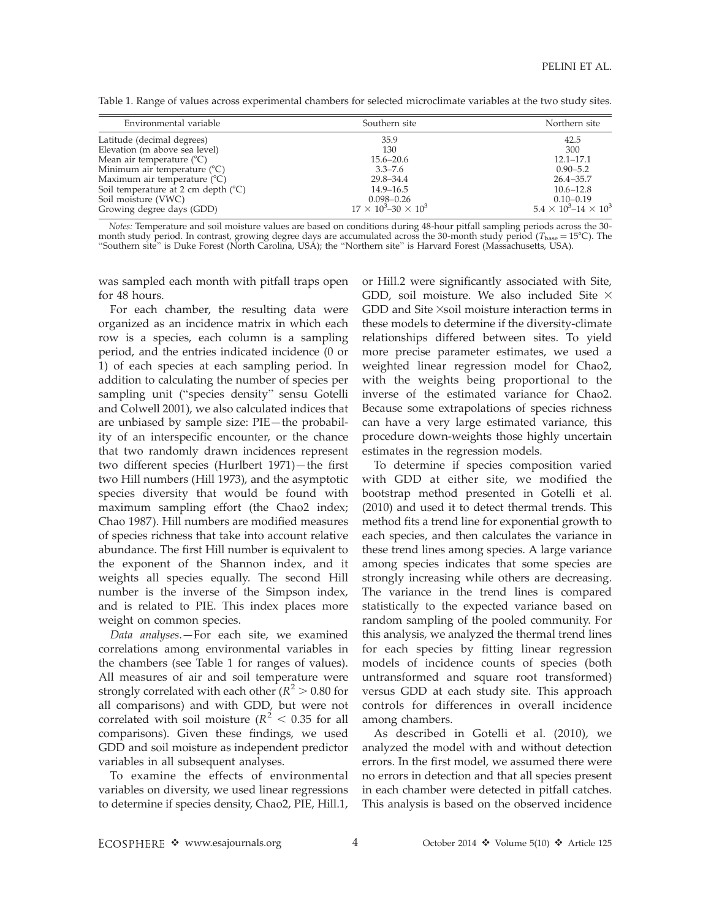| Table 1. Range of values across experimental chambers for selected microclimate variables at the two study sites. |  |  |
|-------------------------------------------------------------------------------------------------------------------|--|--|
|                                                                                                                   |  |  |

| Environmental variable                       | Southern site                     | Northern site                       |
|----------------------------------------------|-----------------------------------|-------------------------------------|
| Latitude (decimal degrees)                   | 35.9                              | 42.5                                |
| Elevation (m above sea level)                | 130                               | 300                                 |
| Mean air temperature $(^{\circ}C)$           | $15.6 - 20.6$                     | $12.1 - 17.1$                       |
| Minimum air temperature $({}^{\circ}C)$      | $3.3 - 7.6$                       | $0.90 - 5.2$                        |
| Maximum air temperature $(^{\circ}C)$        | 29.8–34.4                         | $26.4 - 35.7$                       |
| Soil temperature at 2 cm depth $(^{\circ}C)$ | $14.9 - 16.5$                     | $10.6 - 12.8$                       |
| Soil moisture (VWC)                          | $0.098 - 0.26$                    | $0.10 - 0.19$                       |
| Growing degree days (GDD)                    | $17 \times 10^3 - 30 \times 10^3$ | $5.4 \times 10^3$ -14 $\times 10^3$ |

Notes: Temperature and soil moisture values are based on conditions during 48-hour pitfall sampling periods across the 30 month study period. In contrast, growing degree days are accumulated across the 30-month study period (T<sub>base</sub> = 15°C). The<br>"Southern site" is Duke Forest (North Carolina, USA); the "Northern site" is Harvard Forest (Massa

was sampled each month with pitfall traps open for 48 hours.

For each chamber, the resulting data were organized as an incidence matrix in which each row is a species, each column is a sampling period, and the entries indicated incidence (0 or 1) of each species at each sampling period. In addition to calculating the number of species per sampling unit (''species density'' sensu Gotelli and Colwell 2001), we also calculated indices that are unbiased by sample size: PIE—the probability of an interspecific encounter, or the chance that two randomly drawn incidences represent two different species (Hurlbert 1971)—the first two Hill numbers (Hill 1973), and the asymptotic species diversity that would be found with maximum sampling effort (the Chao2 index; Chao 1987). Hill numbers are modified measures of species richness that take into account relative abundance. The first Hill number is equivalent to the exponent of the Shannon index, and it weights all species equally. The second Hill number is the inverse of the Simpson index, and is related to PIE. This index places more weight on common species.

Data analyses.—For each site, we examined correlations among environmental variables in the chambers (see Table 1 for ranges of values). All measures of air and soil temperature were strongly correlated with each other ( $R^2 > 0.80$  for all comparisons) and with GDD, but were not correlated with soil moisture ( $R^2$  < 0.35 for all comparisons). Given these findings, we used GDD and soil moisture as independent predictor variables in all subsequent analyses.

To examine the effects of environmental variables on diversity, we used linear regressions to determine if species density, Chao2, PIE, Hill.1, or Hill.2 were significantly associated with Site, GDD, soil moisture. We also included Site  $\times$ GDD and Site  $\times$ soil moisture interaction terms in these models to determine if the diversity-climate relationships differed between sites. To yield more precise parameter estimates, we used a weighted linear regression model for Chao2, with the weights being proportional to the inverse of the estimated variance for Chao2. Because some extrapolations of species richness can have a very large estimated variance, this procedure down-weights those highly uncertain estimates in the regression models.

To determine if species composition varied with GDD at either site, we modified the bootstrap method presented in Gotelli et al. (2010) and used it to detect thermal trends. This method fits a trend line for exponential growth to each species, and then calculates the variance in these trend lines among species. A large variance among species indicates that some species are strongly increasing while others are decreasing. The variance in the trend lines is compared statistically to the expected variance based on random sampling of the pooled community. For this analysis, we analyzed the thermal trend lines for each species by fitting linear regression models of incidence counts of species (both untransformed and square root transformed) versus GDD at each study site. This approach controls for differences in overall incidence among chambers.

As described in Gotelli et al. (2010), we analyzed the model with and without detection errors. In the first model, we assumed there were no errors in detection and that all species present in each chamber were detected in pitfall catches. This analysis is based on the observed incidence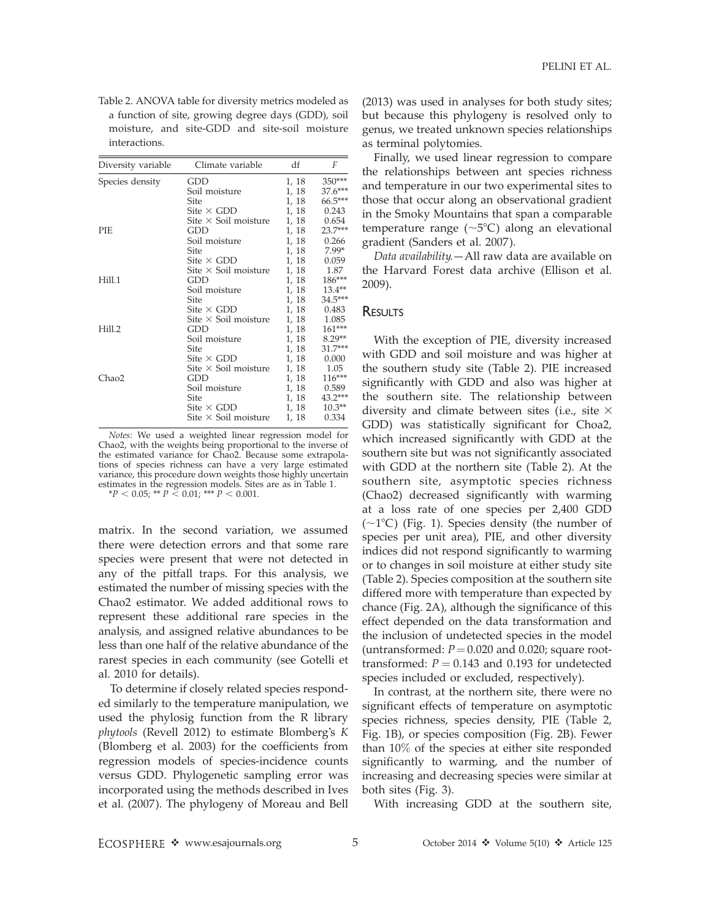Table 2. ANOVA table for diversity metrics modeled as a function of site, growing degree days (GDD), soil moisture, and site-GDD and site-soil moisture interactions.

| Diversity variable | Climate variable            | df    | F        |
|--------------------|-----------------------------|-------|----------|
| Species density    | GDD                         | 1, 18 | $350***$ |
|                    | Soil moisture               | 1, 18 | 37.6***  |
|                    | Site                        | 1, 18 | 66.5***  |
|                    | Site $\times$ GDD           | 1, 18 | 0.243    |
|                    | Site $\times$ Soil moisture | 1, 18 | 0.654    |
| <b>PIE</b>         | GDD                         | 1, 18 | 23.7***  |
|                    | Soil moisture               | 1, 18 | 0.266    |
|                    | Site                        | 1, 18 | $7.99*$  |
|                    | Site $\times$ GDD           | 1, 18 | 0.059    |
|                    | Site $\times$ Soil moisture | 1, 18 | 1.87     |
| Hill.1             | GDD                         | 1, 18 | 186***   |
|                    | Soil moisture               | 1, 18 | $13.4**$ |
|                    | Site                        | 1, 18 | 34.5***  |
|                    | Site $\times$ GDD           | 1, 18 | 0.483    |
|                    | Site $\times$ Soil moisture | 1, 18 | 1.085    |
| Hill.2             | GDD                         | 1, 18 | 161***   |
|                    | Soil moisture               | 1, 18 | $8.29**$ |
|                    | Site                        | 1, 18 | 31.7***  |
|                    | Site $\times$ GDD           | 1, 18 | 0.000    |
|                    | Site $\times$ Soil moisture | 1, 18 | 1.05     |
| Chao2              | GDD                         | 1, 18 | 116***   |
|                    | Soil moisture               | 1, 18 | 0.589    |
|                    | Site                        | 1, 18 | 43.2***  |
|                    | Site $\times$ GDD           | 1, 18 | $10.3**$ |
|                    | Site $\times$ Soil moisture | 1, 18 | 0.334    |

Notes: We used a weighted linear regression model for Chao2, with the weights being proportional to the inverse of the estimated variance for Chao2. Because some extrapolations of species richness can have a very large estimated variance, this procedure down weights those highly uncertain estimates in the regression models. Sites are as in Table 1.

 $*P < 0.05; ** P < 0.01; ** P < 0.001.$ 

matrix. In the second variation, we assumed there were detection errors and that some rare species were present that were not detected in any of the pitfall traps. For this analysis, we estimated the number of missing species with the Chao2 estimator. We added additional rows to represent these additional rare species in the analysis, and assigned relative abundances to be less than one half of the relative abundance of the rarest species in each community (see Gotelli et al. 2010 for details).

To determine if closely related species responded similarly to the temperature manipulation, we used the phylosig function from the R library phytools (Revell 2012) to estimate Blomberg's K (Blomberg et al. 2003) for the coefficients from regression models of species-incidence counts versus GDD. Phylogenetic sampling error was incorporated using the methods described in Ives et al. (2007). The phylogeny of Moreau and Bell

(2013) was used in analyses for both study sites; but because this phylogeny is resolved only to genus, we treated unknown species relationships as terminal polytomies.

Finally, we used linear regression to compare the relationships between ant species richness and temperature in our two experimental sites to those that occur along an observational gradient in the Smoky Mountains that span a comparable temperature range ( $\sim$ 5°C) along an elevational gradient (Sanders et al. 2007).

Data availability. - All raw data are available on the Harvard Forest data archive (Ellison et al. 2009).

### **RESULTS**

With the exception of PIE, diversity increased with GDD and soil moisture and was higher at the southern study site (Table 2). PIE increased significantly with GDD and also was higher at the southern site. The relationship between diversity and climate between sites (i.e., site  $\times$ GDD) was statistically significant for Choa2, which increased significantly with GDD at the southern site but was not significantly associated with GDD at the northern site (Table 2). At the southern site, asymptotic species richness (Chao2) decreased significantly with warming at a loss rate of one species per 2,400 GDD  $(\sim1\textdegree C)$  (Fig. 1). Species density (the number of species per unit area), PIE, and other diversity indices did not respond significantly to warming or to changes in soil moisture at either study site (Table 2). Species composition at the southern site differed more with temperature than expected by chance (Fig. 2A), although the significance of this effect depended on the data transformation and the inclusion of undetected species in the model (untransformed:  $P = 0.020$  and 0.020; square roottransformed:  $P = 0.143$  and 0.193 for undetected species included or excluded, respectively).

In contrast, at the northern site, there were no significant effects of temperature on asymptotic species richness, species density, PIE (Table 2, Fig. 1B), or species composition (Fig. 2B). Fewer than 10% of the species at either site responded significantly to warming, and the number of increasing and decreasing species were similar at both sites (Fig. 3).

With increasing GDD at the southern site,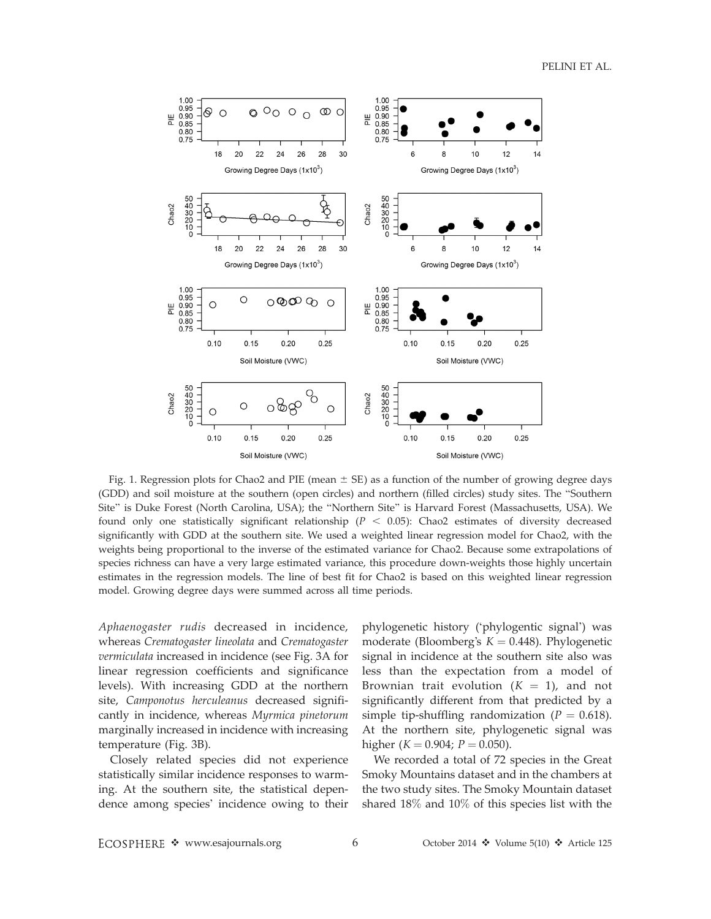

Fig. 1. Regression plots for Chao2 and PIE (mean  $\pm$  SE) as a function of the number of growing degree days (GDD) and soil moisture at the southern (open circles) and northern (filled circles) study sites. The ''Southern Site'' is Duke Forest (North Carolina, USA); the ''Northern Site'' is Harvard Forest (Massachusetts, USA). We found only one statistically significant relationship ( $P < 0.05$ ): Chao2 estimates of diversity decreased significantly with GDD at the southern site. We used a weighted linear regression model for Chao2, with the weights being proportional to the inverse of the estimated variance for Chao2. Because some extrapolations of species richness can have a very large estimated variance, this procedure down-weights those highly uncertain estimates in the regression models. The line of best fit for Chao2 is based on this weighted linear regression model. Growing degree days were summed across all time periods.

Aphaenogaster rudis decreased in incidence, whereas Crematogaster lineolata and Crematogaster vermiculata increased in incidence (see Fig. 3A for linear regression coefficients and significance levels). With increasing GDD at the northern site, Camponotus herculeanus decreased significantly in incidence, whereas Myrmica pinetorum marginally increased in incidence with increasing temperature (Fig. 3B).

Closely related species did not experience statistically similar incidence responses to warming. At the southern site, the statistical dependence among species' incidence owing to their

phylogenetic history ('phylogentic signal') was moderate (Bloomberg's  $K = 0.448$ ). Phylogenetic signal in incidence at the southern site also was less than the expectation from a model of Brownian trait evolution  $(K = 1)$ , and not significantly different from that predicted by a simple tip-shuffling randomization ( $P = 0.618$ ). At the northern site, phylogenetic signal was higher ( $K = 0.904$ ;  $P = 0.050$ ).

We recorded a total of 72 species in the Great Smoky Mountains dataset and in the chambers at the two study sites. The Smoky Mountain dataset shared 18% and 10% of this species list with the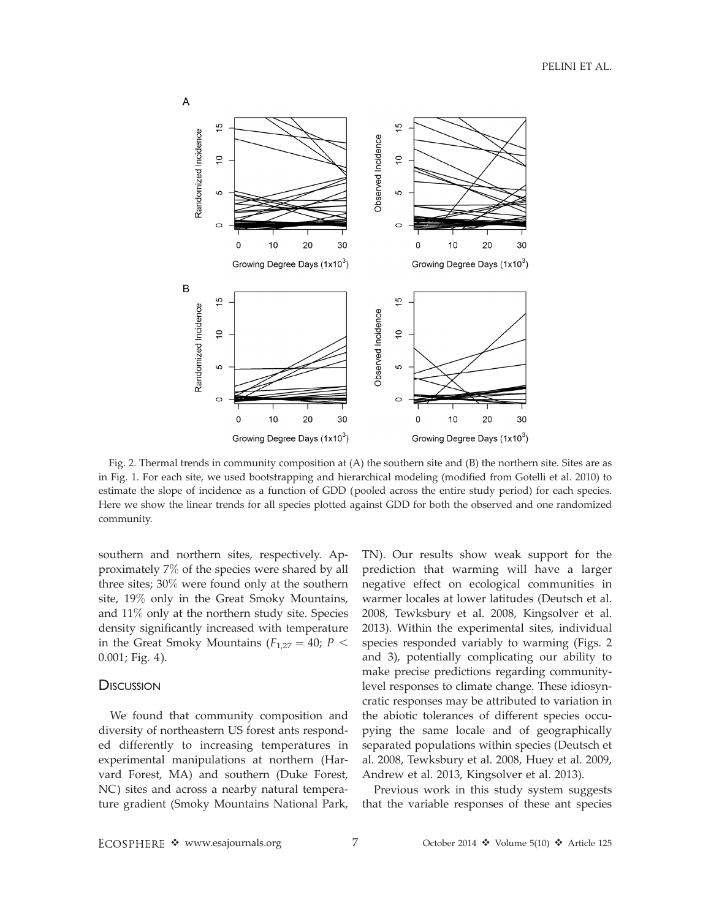

Fig. 2. Thermal trends in community composition at (A) the southern site and (B) the northern site. Sites are as in Fig. 1. For each site, we used bootstrapping and hierarchical modeling (modified from Gotelli et al. 2010) to estimate the slope of incidence as a function of GDD (pooled across the entire study period) for each species. Here we show the linear trends for all species plotted against GDD for both the observed and one randomized community.

southern and northern sites, respectively. Approximately 7% of the species were shared by all three sites; 30% were found only at the southern site, 19% only in the Great Smoky Mountains, and 11% only at the northern study site. Species density significantly increased with temperature in the Great Smoky Mountains ( $F_{1,27} = 40$ ;  $P <$ 0.001; Fig. 4).

#### **DISCUSSION**

We found that community composition and diversity of northeastern US forest ants responded differently to increasing temperatures in experimental manipulations at northern (Harvard Forest, MA) and southern (Duke Forest, NC) sites and across a nearby natural temperature gradient (Smoky Mountains National Park, TN). Our results show weak support for the prediction that warming will have a larger negative effect on ecological communities in warmer locales at lower latitudes (Deutsch et al. 2008, Tewksbury et al. 2008, Kingsolver et al. 2013). Within the experimental sites, individual species responded variably to warming (Figs. 2 and 3), potentially complicating our ability to make precise predictions regarding communitylevel responses to climate change. These idiosyncratic responses may be attributed to variation in the abiotic tolerances of different species occupying the same locale and of geographically separated populations within species (Deutsch et al. 2008, Tewksbury et al. 2008, Huey et al. 2009, Andrew et al. 2013, Kingsolver et al. 2013).

Previous work in this study system suggests that the variable responses of these ant species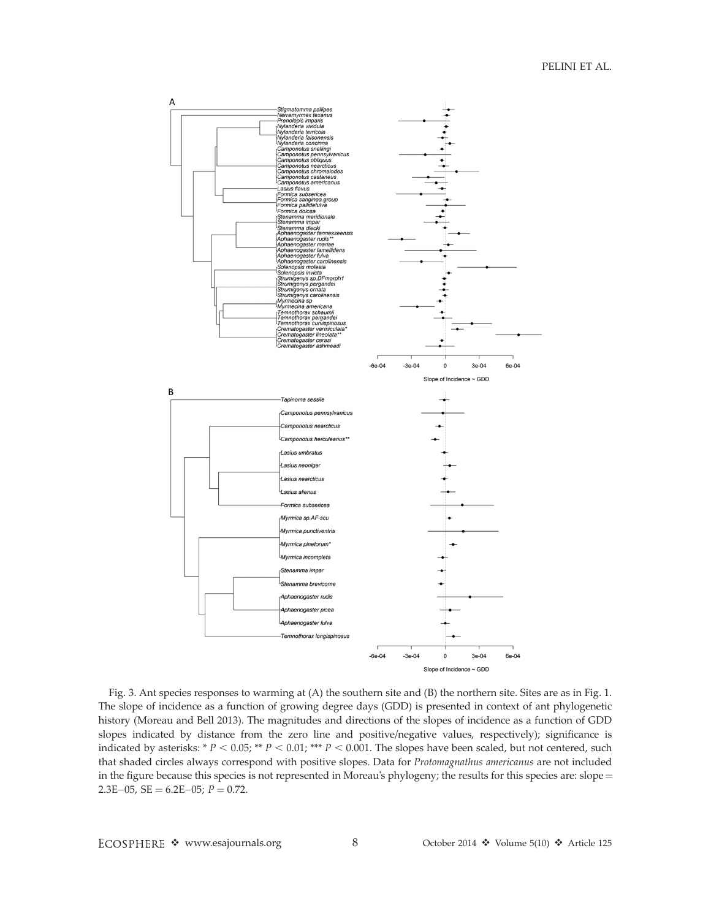

Fig. 3. Ant species responses to warming at (A) the southern site and (B) the northern site. Sites are as in Fig. 1. The slope of incidence as a function of growing degree days (GDD) is presented in context of ant phylogenetic history (Moreau and Bell 2013). The magnitudes and directions of the slopes of incidence as a function of GDD slopes indicated by distance from the zero line and positive/negative values, respectively); significance is indicated by asterisks: \*  $P < 0.05$ ; \*\*  $P < 0.01$ ; \*\*\*  $P < 0.001$ . The slopes have been scaled, but not centered, such that shaded circles always correspond with positive slopes. Data for Protomagnathus americanus are not included in the figure because this species is not represented in Moreau's phylogeny; the results for this species are:  $slope =$  $2.3E-05$ ,  $SE = 6.2E-05$ ;  $P = 0.72$ .

ECOSPHERE \* www.esajournals.org 8 October 2014 \* Volume 5(10) \* Article 125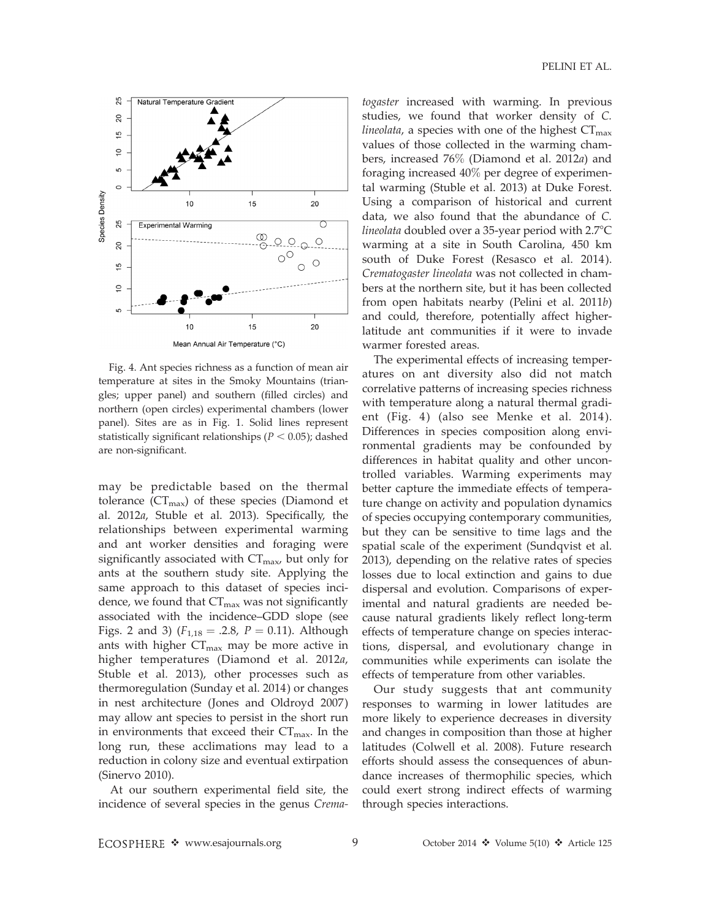

Fig. 4. Ant species richness as a function of mean air temperature at sites in the Smoky Mountains (triangles; upper panel) and southern (filled circles) and northern (open circles) experimental chambers (lower panel). Sites are as in Fig. 1. Solid lines represent statistically significant relationships ( $P < 0.05$ ); dashed are non-significant.

may be predictable based on the thermal tolerance  $(CT_{max})$  of these species (Diamond et al. 2012a, Stuble et al. 2013). Specifically, the relationships between experimental warming and ant worker densities and foraging were significantly associated with  $CT<sub>max</sub>$ , but only for ants at the southern study site. Applying the same approach to this dataset of species incidence, we found that  $CT_{\text{max}}$  was not significantly associated with the incidence–GDD slope (see Figs. 2 and 3) ( $F_{1,18} = .2.8$ ,  $P = 0.11$ ). Although ants with higher  $CT_{\text{max}}$  may be more active in higher temperatures (Diamond et al. 2012a, Stuble et al. 2013), other processes such as thermoregulation (Sunday et al. 2014) or changes in nest architecture (Jones and Oldroyd 2007) may allow ant species to persist in the short run in environments that exceed their  $CT_{\text{max}}$ . In the long run, these acclimations may lead to a reduction in colony size and eventual extirpation (Sinervo 2010).

At our southern experimental field site, the incidence of several species in the genus Crema-

togaster increased with warming. In previous studies, we found that worker density of C. *lineolata,* a species with one of the highest  $CT_{\text{max}}$ values of those collected in the warming chambers, increased 76% (Diamond et al. 2012a) and foraging increased 40% per degree of experimental warming (Stuble et al. 2013) at Duke Forest. Using a comparison of historical and current data, we also found that the abundance of C. lineolata doubled over a 35-year period with  $2.7^{\circ}C$ warming at a site in South Carolina, 450 km south of Duke Forest (Resasco et al. 2014). Crematogaster lineolata was not collected in chambers at the northern site, but it has been collected from open habitats nearby (Pelini et al. 2011b) and could, therefore, potentially affect higherlatitude ant communities if it were to invade warmer forested areas.

The experimental effects of increasing temperatures on ant diversity also did not match correlative patterns of increasing species richness with temperature along a natural thermal gradient (Fig. 4) (also see Menke et al. 2014). Differences in species composition along environmental gradients may be confounded by differences in habitat quality and other uncontrolled variables. Warming experiments may better capture the immediate effects of temperature change on activity and population dynamics of species occupying contemporary communities, but they can be sensitive to time lags and the spatial scale of the experiment (Sundqvist et al. 2013), depending on the relative rates of species losses due to local extinction and gains to due dispersal and evolution. Comparisons of experimental and natural gradients are needed because natural gradients likely reflect long-term effects of temperature change on species interactions, dispersal, and evolutionary change in communities while experiments can isolate the effects of temperature from other variables.

Our study suggests that ant community responses to warming in lower latitudes are more likely to experience decreases in diversity and changes in composition than those at higher latitudes (Colwell et al. 2008). Future research efforts should assess the consequences of abundance increases of thermophilic species, which could exert strong indirect effects of warming through species interactions.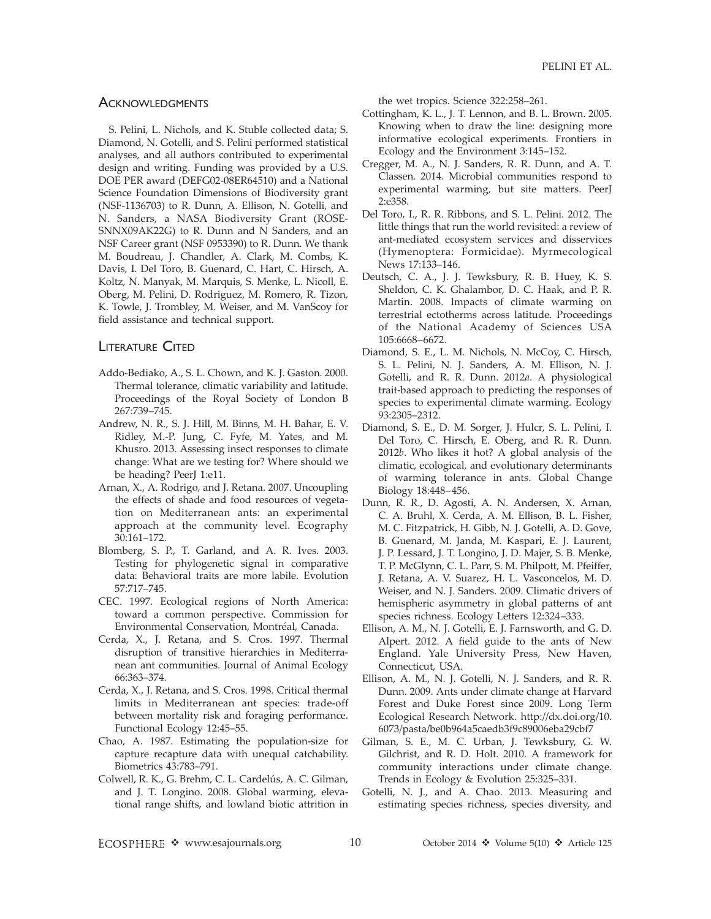#### **ACKNOWLEDGMENTS**

S. Pelini, L. Nichols, and K. Stuble collected data; S. Diamond, N. Gotelli, and S. Pelini performed statistical analyses, and all authors contributed to experimental design and writing. Funding was provided by a U.S. DOE PER award (DEFG02-08ER64510) and a National Science Foundation Dimensions of Biodiversity grant (NSF-1136703) to R. Dunn, A. Ellison, N. Gotelli, and N. Sanders, a NASA Biodiversity Grant (ROSE-SNNX09AK22G) to R. Dunn and N Sanders, and an NSF Career grant (NSF 0953390) to R. Dunn. We thank M. Boudreau, J. Chandler, A. Clark, M. Combs, K. Davis, I. Del Toro, B. Guenard, C. Hart, C. Hirsch, A. Koltz, N. Manyak, M. Marquis, S. Menke, L. Nicoll, E. Oberg, M. Pelini, D. Rodriguez, M. Romero, R. Tizon, K. Towle, J. Trombley, M. Weiser, and M. VanScoy for field assistance and technical support.

## LITERATURE CITED

- Addo-Bediako, A., S. L. Chown, and K. J. Gaston. 2000. Thermal tolerance, climatic variability and latitude. Proceedings of the Royal Society of London B 267:739–745.
- Andrew, N. R., S. J. Hill, M. Binns, M. H. Bahar, E. V. Ridley, M.-P. Jung, C. Fyfe, M. Yates, and M. Khusro. 2013. Assessing insect responses to climate change: What are we testing for? Where should we be heading? PeerJ 1:e11.
- Arnan, X., A. Rodrigo, and J. Retana. 2007. Uncoupling the effects of shade and food resources of vegetation on Mediterranean ants: an experimental approach at the community level. Ecography 30:161–172.
- Blomberg, S. P., T. Garland, and A. R. Ives. 2003. Testing for phylogenetic signal in comparative data: Behavioral traits are more labile. Evolution 57:717–745.
- CEC. 1997. Ecological regions of North America: toward a common perspective. Commission for Environmental Conservation, Montréal, Canada.
- Cerda, X., J. Retana, and S. Cros. 1997. Thermal disruption of transitive hierarchies in Mediterranean ant communities. Journal of Animal Ecology 66:363–374.
- Cerda, X., J. Retana, and S. Cros. 1998. Critical thermal limits in Mediterranean ant species: trade-off between mortality risk and foraging performance. Functional Ecology 12:45–55.
- Chao, A. 1987. Estimating the population-size for capture recapture data with unequal catchability. Biometrics 43:783–791.
- Colwell, R. K., G. Brehm, C. L. Cardelús, A. C. Gilman, and J. T. Longino. 2008. Global warming, elevational range shifts, and lowland biotic attrition in

the wet tropics. Science 322:258–261.

- Cottingham, K. L., J. T. Lennon, and B. L. Brown. 2005. Knowing when to draw the line: designing more informative ecological experiments. Frontiers in Ecology and the Environment 3:145–152.
- Cregger, M. A., N. J. Sanders, R. R. Dunn, and A. T. Classen. 2014. Microbial communities respond to experimental warming, but site matters. PeerJ 2:e358.
- Del Toro, I., R. R. Ribbons, and S. L. Pelini. 2012. The little things that run the world revisited: a review of ant-mediated ecosystem services and disservices (Hymenoptera: Formicidae). Myrmecological News 17:133–146.
- Deutsch, C. A., J. J. Tewksbury, R. B. Huey, K. S. Sheldon, C. K. Ghalambor, D. C. Haak, and P. R. Martin. 2008. Impacts of climate warming on terrestrial ectotherms across latitude. Proceedings of the National Academy of Sciences USA 105:6668–6672.
- Diamond, S. E., L. M. Nichols, N. McCoy, C. Hirsch, S. L. Pelini, N. J. Sanders, A. M. Ellison, N. J. Gotelli, and R. R. Dunn. 2012a. A physiological trait-based approach to predicting the responses of species to experimental climate warming. Ecology 93:2305–2312.
- Diamond, S. E., D. M. Sorger, J. Hulcr, S. L. Pelini, I. Del Toro, C. Hirsch, E. Oberg, and R. R. Dunn. 2012b. Who likes it hot? A global analysis of the climatic, ecological, and evolutionary determinants of warming tolerance in ants. Global Change Biology 18:448–456.
- Dunn, R. R., D. Agosti, A. N. Andersen, X. Arnan, C. A. Bruhl, X. Cerda, A. M. Ellison, B. L. Fisher, M. C. Fitzpatrick, H. Gibb, N. J. Gotelli, A. D. Gove, B. Guenard, M. Janda, M. Kaspari, E. J. Laurent, J. P. Lessard, J. T. Longino, J. D. Majer, S. B. Menke, T. P. McGlynn, C. L. Parr, S. M. Philpott, M. Pfeiffer, J. Retana, A. V. Suarez, H. L. Vasconcelos, M. D. Weiser, and N. J. Sanders. 2009. Climatic drivers of hemispheric asymmetry in global patterns of ant species richness. Ecology Letters 12:324–333.
- Ellison, A. M., N. J. Gotelli, E. J. Farnsworth, and G. D. Alpert. 2012. A field guide to the ants of New England. Yale University Press, New Haven, Connecticut, USA.
- Ellison, A. M., N. J. Gotelli, N. J. Sanders, and R. R. Dunn. 2009. Ants under climate change at Harvard Forest and Duke Forest since 2009. Long Term Ecological Research Network. http://dx.doi.org/10. 6073/pasta/be0b964a5caedb3f9c89006eba29cbf7
- Gilman, S. E., M. C. Urban, J. Tewksbury, G. W. Gilchrist, and R. D. Holt. 2010. A framework for community interactions under climate change. Trends in Ecology & Evolution 25:325–331.
- Gotelli, N. J., and A. Chao. 2013. Measuring and estimating species richness, species diversity, and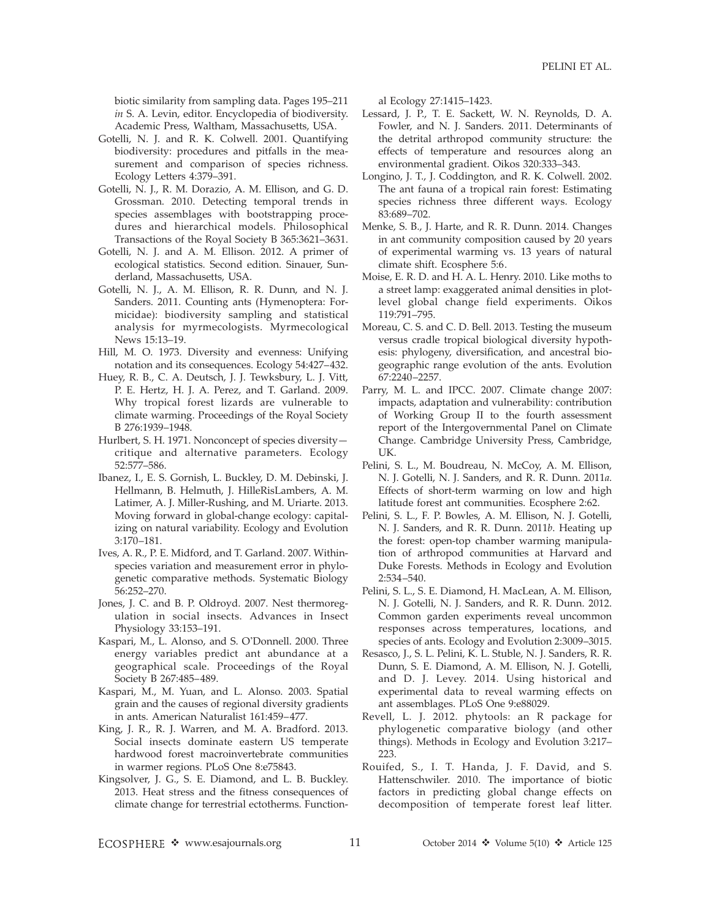biotic similarity from sampling data. Pages 195–211 in S. A. Levin, editor. Encyclopedia of biodiversity. Academic Press, Waltham, Massachusetts, USA.

- Gotelli, N. J. and R. K. Colwell. 2001. Quantifying biodiversity: procedures and pitfalls in the measurement and comparison of species richness. Ecology Letters 4:379–391.
- Gotelli, N. J., R. M. Dorazio, A. M. Ellison, and G. D. Grossman. 2010. Detecting temporal trends in species assemblages with bootstrapping procedures and hierarchical models. Philosophical Transactions of the Royal Society B 365:3621–3631.
- Gotelli, N. J. and A. M. Ellison. 2012. A primer of ecological statistics. Second edition. Sinauer, Sunderland, Massachusetts, USA.
- Gotelli, N. J., A. M. Ellison, R. R. Dunn, and N. J. Sanders. 2011. Counting ants (Hymenoptera: Formicidae): biodiversity sampling and statistical analysis for myrmecologists. Myrmecological News 15:13–19.
- Hill, M. O. 1973. Diversity and evenness: Unifying notation and its consequences. Ecology 54:427–432.
- Huey, R. B., C. A. Deutsch, J. J. Tewksbury, L. J. Vitt, P. E. Hertz, H. J. A. Perez, and T. Garland. 2009. Why tropical forest lizards are vulnerable to climate warming. Proceedings of the Royal Society B 276:1939–1948.
- Hurlbert, S. H. 1971. Nonconcept of species diversity critique and alternative parameters. Ecology 52:577–586.
- Ibanez, I., E. S. Gornish, L. Buckley, D. M. Debinski, J. Hellmann, B. Helmuth, J. HilleRisLambers, A. M. Latimer, A. J. Miller-Rushing, and M. Uriarte. 2013. Moving forward in global-change ecology: capitalizing on natural variability. Ecology and Evolution 3:170–181.
- Ives, A. R., P. E. Midford, and T. Garland. 2007. Withinspecies variation and measurement error in phylogenetic comparative methods. Systematic Biology 56:252–270.
- Jones, J. C. and B. P. Oldroyd. 2007. Nest thermoregulation in social insects. Advances in Insect Physiology 33:153–191.
- Kaspari, M., L. Alonso, and S. O'Donnell. 2000. Three energy variables predict ant abundance at a geographical scale. Proceedings of the Royal Society B 267:485–489.
- Kaspari, M., M. Yuan, and L. Alonso. 2003. Spatial grain and the causes of regional diversity gradients in ants. American Naturalist 161:459–477.
- King, J. R., R. J. Warren, and M. A. Bradford. 2013. Social insects dominate eastern US temperate hardwood forest macroinvertebrate communities in warmer regions. PLoS One 8:e75843.
- Kingsolver, J. G., S. E. Diamond, and L. B. Buckley. 2013. Heat stress and the fitness consequences of climate change for terrestrial ectotherms. Function-

al Ecology 27:1415–1423.

- Lessard, J. P., T. E. Sackett, W. N. Reynolds, D. A. Fowler, and N. J. Sanders. 2011. Determinants of the detrital arthropod community structure: the effects of temperature and resources along an environmental gradient. Oikos 320:333–343.
- Longino, J. T., J. Coddington, and R. K. Colwell. 2002. The ant fauna of a tropical rain forest: Estimating species richness three different ways. Ecology 83:689–702.
- Menke, S. B., J. Harte, and R. R. Dunn. 2014. Changes in ant community composition caused by 20 years of experimental warming vs. 13 years of natural climate shift. Ecosphere 5:6.
- Moise, E. R. D. and H. A. L. Henry. 2010. Like moths to a street lamp: exaggerated animal densities in plotlevel global change field experiments. Oikos 119:791–795.
- Moreau, C. S. and C. D. Bell. 2013. Testing the museum versus cradle tropical biological diversity hypothesis: phylogeny, diversification, and ancestral biogeographic range evolution of the ants. Evolution 67:2240–2257.
- Parry, M. L. and IPCC. 2007. Climate change 2007: impacts, adaptation and vulnerability: contribution of Working Group II to the fourth assessment report of the Intergovernmental Panel on Climate Change. Cambridge University Press, Cambridge, UK.
- Pelini, S. L., M. Boudreau, N. McCoy, A. M. Ellison, N. J. Gotelli, N. J. Sanders, and R. R. Dunn. 2011a. Effects of short-term warming on low and high latitude forest ant communities. Ecosphere 2:62.
- Pelini, S. L., F. P. Bowles, A. M. Ellison, N. J. Gotelli, N. J. Sanders, and R. R. Dunn. 2011b. Heating up the forest: open-top chamber warming manipulation of arthropod communities at Harvard and Duke Forests. Methods in Ecology and Evolution 2:534–540.
- Pelini, S. L., S. E. Diamond, H. MacLean, A. M. Ellison, N. J. Gotelli, N. J. Sanders, and R. R. Dunn. 2012. Common garden experiments reveal uncommon responses across temperatures, locations, and species of ants. Ecology and Evolution 2:3009–3015.
- Resasco, J., S. L. Pelini, K. L. Stuble, N. J. Sanders, R. R. Dunn, S. E. Diamond, A. M. Ellison, N. J. Gotelli, and D. J. Levey. 2014. Using historical and experimental data to reveal warming effects on ant assemblages. PLoS One 9:e88029.
- Revell, L. J. 2012. phytools: an R package for phylogenetic comparative biology (and other things). Methods in Ecology and Evolution 3:217– 223.
- Rouifed, S., I. T. Handa, J. F. David, and S. Hattenschwiler. 2010. The importance of biotic factors in predicting global change effects on decomposition of temperate forest leaf litter.